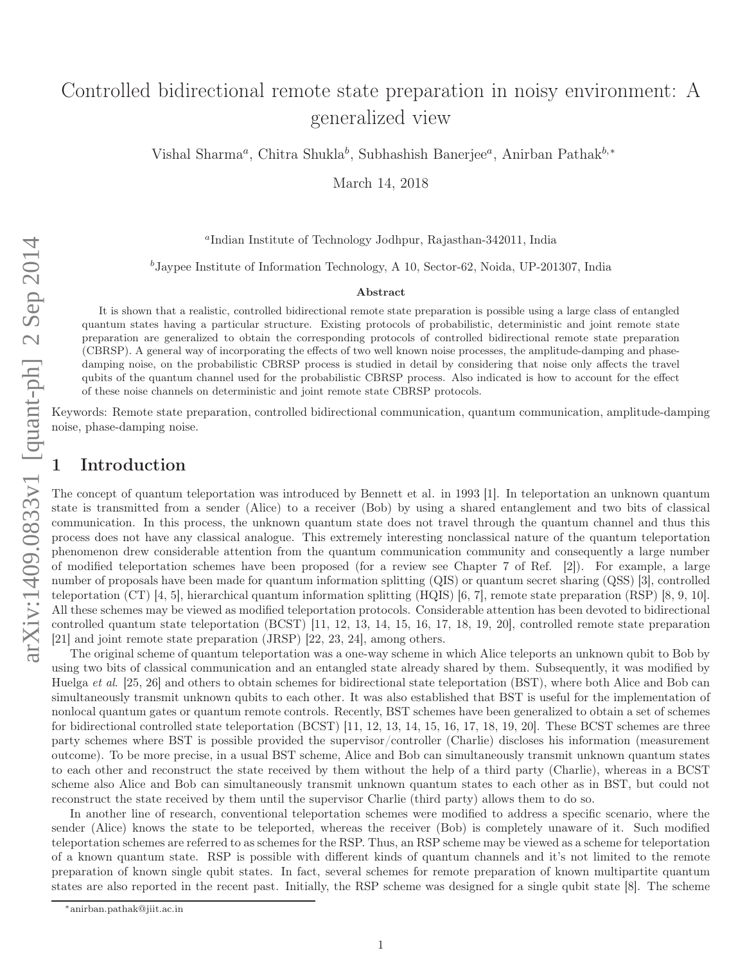# Controlled bidirectional remote state preparation in noisy environment: A generalized view

Vishal Sharma<sup>a</sup>, Chitra Shukla<sup>b</sup>, Subhashish Banerjee<sup>a</sup>, Anirban Pathak<sup>b,\*</sup>

March 14, 2018

a Indian Institute of Technology Jodhpur, Rajasthan-342011, India

 $^{b}$ Jaypee Institute of Information Technology, A 10, Sector-62, Noida, UP-201307, India

#### Abstract

It is shown that a realistic, controlled bidirectional remote state preparation is possible using a large class of entangled quantum states having a particular structure. Existing protocols of probabilistic, deterministic and joint remote state preparation are generalized to obtain the corresponding protocols of controlled bidirectional remote state preparation (CBRSP). A general way of incorporating the effects of two well known noise processes, the amplitude-damping and phasedamping noise, on the probabilistic CBRSP process is studied in detail by considering that noise only affects the travel qubits of the quantum channel used for the probabilistic CBRSP process. Also indicated is how to account for the effect of these noise channels on deterministic and joint remote state CBRSP protocols.

Keywords: Remote state preparation, controlled bidirectional communication, quantum communication, amplitude-damping noise, phase-damping noise.

#### **Introduction**

The concept of quantum teleportation was introduced by Bennett et al . in 1993 [1]. In teleportation an unknown quantum state is transmitted from a sender (Alice) to a receiver (Bob) by using a shared entanglement and two bits of classical communication. In this process, the unknown quantum state does not travel through the quantum channel and thus this process does not have any classical analogue. This extremely interesting nonclassical nature of the quantum teleportation phenomenon drew considerable attention from the quantum communication community and consequently a large number of modified teleportation schemes have been proposed (for a review see Chapter 7 of Ref. [2]). For example, a large number of proposals have been made for quantum information splitting (QIS) or quantum secret sharing (QSS) [3], controlled teleportation (CT) [4, 5], hierarchical quantum information splitting (HQIS) [6, 7], remote state preparation (RSP) [8, 9, 10]. All these schemes may be viewed as modified teleportation protocols. Considerable attention has been devoted to bidirectional controlled quantum state teleportation (BCST) [11, 12, 13, 14, 15, 16, 17, 18, 19, 20], controlled remote state preparation [21] and joint remote state preparation (JRSP) [22, 23, 24], among others.

The original scheme of quantum teleportation was a one-way scheme in which Alice teleports an unknown qubit to Bob by using two bits of classical communication and an entangled state already shared by them. Subsequently, it was modified by Huelga et al. [25, 26] and others to obtain schemes for bidirectional state teleportation (BST), where both Alice and Bob can simultaneously transmit unknown qubits to each other. It was also established that BST is useful for the implementation of nonlocal quantum gates or quantum remote controls. Recently, BST schemes have been generalized to obtain a set of scheme s for bidirectional controlled state teleportation (BCST) [11, 12, 13, 14, 15, 16, 17, 18, 19, 20]. These BCST schemes are three party schemes where BST is possible provided the supervisor/controller (Charlie) discloses his information (measurement outcome). To be more precise, in a usual BST scheme, Alice and Bob can simultaneously transmit unknown quantum states to each other and reconstruct the state received by them without the help of a third party (Charlie), whereas in a BCST scheme also Alice and Bob can simultaneously transmit unknown quantum states to each other as in BST, but could not reconstruct the state received by them until the supervisor Charlie (third party) allows them to do so.

In another line of research, conventional teleportation schemes were modified to address a specific scenario, where the sender (Alice) knows the state to be teleported, whereas the receiver (Bob) is completely unaware of it. Such modified teleportation schemes are referred to as schemes for the RSP. Thus, an RSP scheme may be viewed as a scheme for teleportation of a known quantum state. RSP is possible with different kinds of quantum channels and it's not limited to the remote preparation of known single qubit states. In fact, several schemes for remote preparation of known multipartite quantu m states are also reported in the recent past. Initially, the RSP scheme was designed for a single qubit state [8]. The schem e

<sup>∗</sup>anirban.pathak@jiit.ac.in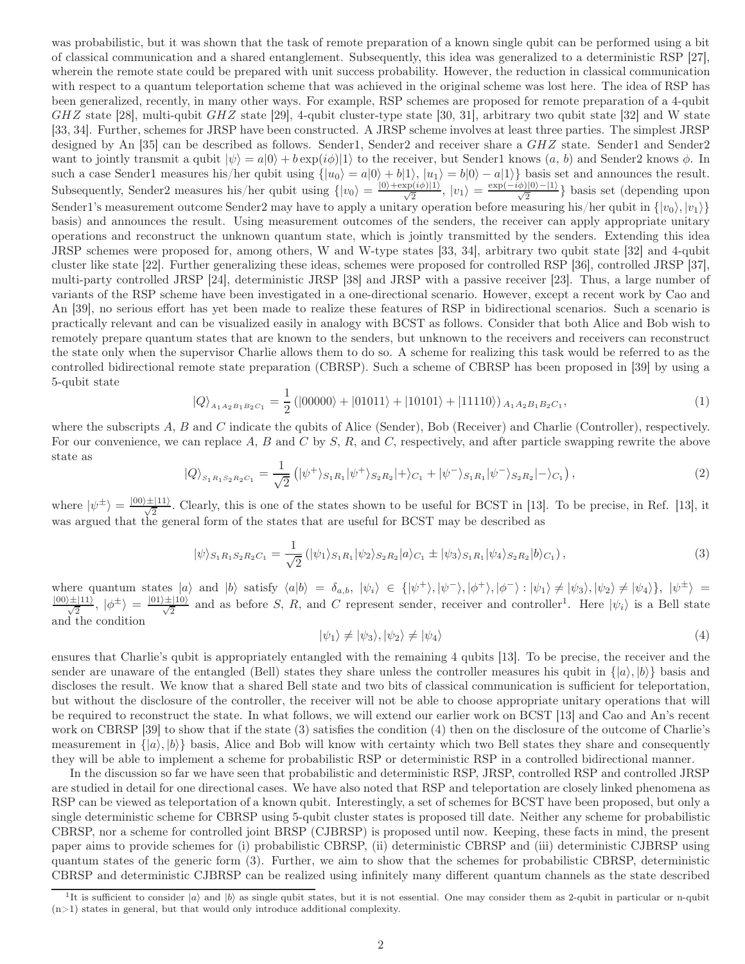was probabilistic, but it was shown that the task of remote preparation of a known single qubit can be performed using a bit of classical communication and a shared entanglement. Subsequently, this idea was generalized to a deterministic RSP [27], wherein the remote state could be prepared with unit success probability. However, the reduction in classical communication with respect to a quantum teleportation scheme that was achieved in the original scheme was lost here. The idea of RSP has been generalized, recently, in many other ways. For example, RSP schemes are proposed for remote preparation of a 4-qubit  $GHZ$  state [28], multi-qubit  $GHZ$  state [29], 4-qubit cluster-type state [30, 31], arbitrary two qubit state [32] and W state [33, 34]. Further, schemes for JRSP have been constructed. A JRSP scheme involves at least three parties. The simplest JRSP designed by An [35] can be described as follows. Sender1, Sender2 and receiver share a GHZ state. Sender1 and Sender2 want to jointly transmit a qubit  $|\psi\rangle = a|0\rangle + b \exp(i\phi)|1\rangle$  to the receiver, but Sender1 knows  $(a, b)$  and Sender2 knows  $\phi$ . In such a case Sender1 measures his/her qubit using  $\{|u_0\rangle = a|0\rangle + b|1\rangle$ ,  $|u_1\rangle = b|0\rangle - a|1\rangle\}$  basis set and announces the result. Subsequently, Sender2 measures his/her qubit using  $\{|v_0\rangle = \frac{|0\rangle + \exp(i\phi)|1\rangle}{\sqrt{2}}, |v_1\rangle = \frac{\exp(-i\phi)|0\rangle - |1\rangle}{\sqrt{2}}\}$  basis set (depending upon Sender1's measurement outcome Sender2 may have to apply a unitary operation before measuring his/her qubit in  $\{|v_0\rangle, |v_1\rangle\}$ basis) and announces the result. Using measurement outcomes of the senders, the receiver can apply appropriate unitary operations and reconstruct the unknown quantum state, which is jointly transmitted by the senders. Extending this idea JRSP schemes were proposed for, among others, W and W-type states [33, 34], arbitrary two qubit state [32] and 4-qubit cluster like state [22]. Further generalizing these ideas, schemes were proposed for controlled RSP [36], controlled JRSP [37], multi-party controlled JRSP [24], deterministic JRSP [38] and JRSP with a passive receiver [23]. Thus, a large number of variants of the RSP scheme have been investigated in a one-directional scenario. However, except a recent work by Cao and An [39], no serious effort has yet been made to realize these features of RSP in bidirectional scenarios. Such a scenario is practically relevant and can be visualized easily in analogy with BCST as follows. Consider that both Alice and Bob wish to remotely prepare quantum states that are known to the senders, but unknown to the receivers and receivers can reconstruct the state only when the supervisor Charlie allows them to do so. A scheme for realizing this task would be referred to as the controlled bidirectional remote state preparation (CBRSP). Such a scheme of CBRSP has been proposed in [39] by using a 5-qubit state

$$
|Q\rangle_{A_1A_2B_1B_2C_1} = \frac{1}{2} (|00000\rangle + |01011\rangle + |10101\rangle + |11110\rangle)_{A_1A_2B_1B_2C_1},
$$
\n(1)

where the subscripts A, B and C indicate the qubits of Alice (Sender), Bob (Receiver) and Charlie (Controller), respectively. For our convenience, we can replace A, B and C by S, R, and C, respectively, and after particle swapping rewrite the above state as

$$
|Q\rangle_{S_1R_1S_2R_2C_1} = \frac{1}{\sqrt{2}} (|\psi^+\rangle_{S_1R_1}|\psi^+\rangle_{S_2R_2}|+\rangle_{C_1} + |\psi^-\rangle_{S_1R_1}|\psi^-\rangle_{S_2R_2}|-\rangle_{C_1}),
$$
\n(2)

where  $|\psi^{\pm}\rangle = \frac{|00\rangle\pm|11\rangle}{\sqrt{2}}$ . Clearly, this is one of the states shown to be useful for BCST in [13]. To be precise, in Ref. [13], it was argued that the general form of the states that are useful for BCST may be described as

$$
|\psi\rangle_{S_1R_1S_2R_2C_1} = \frac{1}{\sqrt{2}} (|\psi_1\rangle_{S_1R_1} |\psi_2\rangle_{S_2R_2} |a\rangle_{C_1} \pm |\psi_3\rangle_{S_1R_1} |\psi_4\rangle_{S_2R_2} |b\rangle_{C_1} ),
$$
\n(3)

where quantum states  $|a\rangle$  and  $|b\rangle$  satisfy  $\langle a|b\rangle = \delta_{a,b}$ ,  $|\psi_i\rangle \in \{|\psi^+\rangle, |\psi^-\rangle, |\phi^+\rangle, |\phi^-\rangle : |\psi_1\rangle \neq |\psi_3\rangle, |\psi_2\rangle \neq |\psi_4\rangle\}, |\psi^{\pm}\rangle =$  $\frac{|00\rangle\pm|11\rangle}{\sqrt{2}}$ ,  $|\phi^{\pm}\rangle = \frac{|01\rangle\pm|10\rangle}{\sqrt{2}}$  and as before S, R, and C represent sender, receiver and controller<sup>1</sup>. Here  $|\psi_i\rangle$  is a Bell state and the condition

$$
|\psi_1\rangle \neq |\psi_3\rangle, |\psi_2\rangle \neq |\psi_4\rangle \tag{4}
$$

ensures that Charlie's qubit is appropriately entangled with the remaining 4 qubits [13]. To be precise, the receiver and the sender are unaware of the entangled (Bell) states they share unless the controller measures his qubit in  $\{|a\rangle, |b\rangle\}$  basis and discloses the result. We know that a shared Bell state and two bits of classical communication is sufficient for teleportation, but without the disclosure of the controller, the receiver will not be able to choose appropriate unitary operations that will be required to reconstruct the state. In what follows, we will extend our earlier work on BCST [13] and Cao and An's recent work on CBRSP [39] to show that if the state (3) satisfies the condition (4) then on the disclosure of the outcome of Charlie's measurement in  $\{|a\rangle, |b\rangle\}$  basis, Alice and Bob will know with certainty which two Bell states they share and consequently they will be able to implement a scheme for probabilistic RSP or deterministic RSP in a controlled bidirectional manner.

In the discussion so far we have seen that probabilistic and deterministic RSP, JRSP, controlled RSP and controlled JRSP are studied in detail for one directional cases. We have also noted that RSP and teleportation are closely linked phenomena as RSP can be viewed as teleportation of a known qubit. Interestingly, a set of schemes for BCST have been proposed, but only a single deterministic scheme for CBRSP using 5-qubit cluster states is proposed till date. Neither any scheme for probabilistic CBRSP, nor a scheme for controlled joint BRSP (CJBRSP) is proposed until now. Keeping, these facts in mind, the present paper aims to provide schemes for (i) probabilistic CBRSP, (ii) deterministic CBRSP and (iii) deterministic CJBRSP using quantum states of the generic form (3). Further, we aim to show that the schemes for probabilistic CBRSP, deterministic CBRSP and deterministic CJBRSP can be realized using infinitely many different quantum channels as the state described

<sup>&</sup>lt;sup>1</sup>It is sufficient to consider  $|a\rangle$  and  $|b\rangle$  as single qubit states, but it is not essential. One may consider them as 2-qubit in particular or n-qubit  $(n>1)$  states in general, but that would only introduce additional complexity.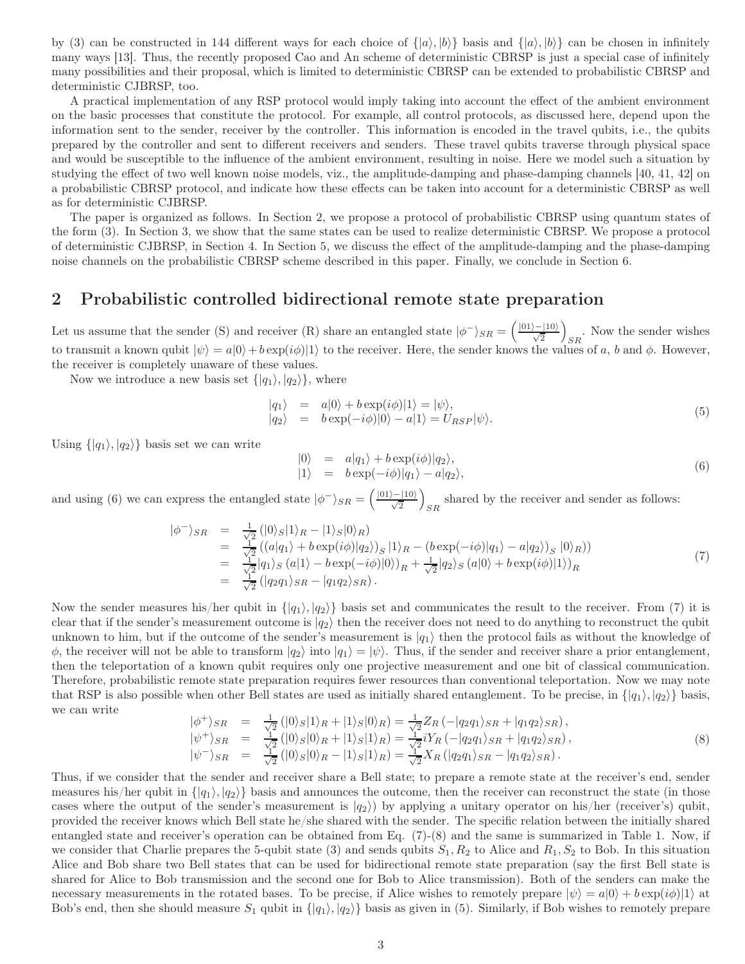by (3) can be constructed in 144 different ways for each choice of  $\{|a\rangle, |b\rangle\}$  basis and  $\{|a\rangle, |b\rangle\}$  can be chosen in infinitely many ways [13]. Thus, the recently proposed Cao and An scheme of deterministic CBRSP is just a special case of infinitely many possibilities and their proposal, which is limited to deterministic CBRSP can be extended to probabilistic CBRSP and deterministic CJBRSP, too.

A practical implementation of any RSP protocol would imply taking into account the effect of the ambient environment on the basic processes that constitute the protocol. For example, all control protocols, as discussed here, depend upon the information sent to the sender, receiver by the controller. This information is encoded in the travel qubits, i.e., the qubits prepared by the controller and sent to different receivers and senders. These travel qubits traverse through physical space and would be susceptible to the influence of the ambient environment, resulting in noise. Here we model such a situation by studying the effect of two well known noise models, viz., the amplitude-damping and phase-damping channels [40, 41, 42] on a probabilistic CBRSP protocol, and indicate how these effects can be taken into account for a deterministic CBRSP as well as for deterministic CJBRSP.

The paper is organized as follows. In Section 2, we propose a protocol of probabilistic CBRSP using quantum states of the form (3). In Section 3, we show that the same states can be used to realize deterministic CBRSP. We propose a protocol of deterministic CJBRSP, in Section 4. In Section 5, we discuss the effect of the amplitude-damping and the phase-damping noise channels on the probabilistic CBRSP scheme described in this paper. Finally, we conclude in Section 6.

#### 2 Probabilistic controlled bidirectional remote state preparation

Let us assume that the sender (S) and receiver (R) share an entangled state  $|\phi^{-}\rangle_{SR} = \left(\frac{|01\rangle - |10\rangle}{\sqrt{2}}\right)$ . Now the sender wishes  $SR$ to transmit a known qubit  $|\psi\rangle = a|0\rangle + b \exp(i\phi)|1\rangle$  to the receiver. Here, the sender knows the values of a, b and  $\phi$ . However, the receiver is completely unaware of these values.

Now we introduce a new basis set  $\{|q_1\rangle, |q_2\rangle\}$ , where

$$
\begin{array}{rcl}\n\vert q_1 \rangle & = & a \vert 0 \rangle + b \exp(i\phi) \vert 1 \rangle = \vert \psi \rangle, \\
\vert q_2 \rangle & = & b \exp(-i\phi) \vert 0 \rangle - a \vert 1 \rangle = U_{RSP} \vert \psi \rangle.\n\end{array} \tag{5}
$$

Using  $\{|q_1\rangle, |q_2\rangle\}$  basis set we can write

$$
\begin{array}{rcl}\n|0\rangle & = & a|q_1\rangle + b \exp(i\phi)|q_2\rangle, \\
|1\rangle & = & b \exp(-i\phi)|q_1\rangle - a|q_2\rangle,\n\end{array}\n\tag{6}
$$

and using (6) we can express the entangled state  $|\phi^{-}\rangle_{SR} = \left(\frac{|01\rangle - |10\rangle}{\sqrt{2}}\right)$ shared by the receiver and sender as follows:  $SR$ 

$$
\begin{array}{rcl}\n|\phi^{-}\rangle_{SR} & = & \frac{1}{\sqrt{2}} \left( |0\rangle_S |1\rangle_R - |1\rangle_S |0\rangle_R \right) \\
& = & \frac{1}{\sqrt{2}} \left( (a|q_1\rangle + b \exp(i\phi)|q_2\rangle)_S |1\rangle_R - (b \exp(-i\phi)|q_1\rangle - a|q_2\rangle)_S |0\rangle_R \right) \\
& = & \frac{1}{\sqrt{2}} |q_1\rangle_S (a|1\rangle - b \exp(-i\phi)|0\rangle)_R + \frac{1}{\sqrt{2}} |q_2\rangle_S (a|0\rangle + b \exp(i\phi)|1\rangle)_R \\
& = & \frac{1}{\sqrt{2}} \left( |q_2 q_1\rangle_{SR} - |q_1 q_2\rangle_{SR} \right).\n\end{array} \tag{7}
$$

Now the sender measures his/her qubit in  $\{|q_1\rangle, |q_2\rangle\}$  basis set and communicates the result to the receiver. From (7) it is clear that if the sender's measurement outcome is  $|q_2\rangle$  then the receiver does not need to do anything to reconstruct the qubit unknown to him, but if the outcome of the sender's measurement is  $|q_1\rangle$  then the protocol fails as without the knowledge of  $\phi$ , the receiver will not be able to transform  $|q_2\rangle$  into  $|q_1\rangle = |\psi\rangle$ . Thus, if the sender and receiver share a prior entanglement, then the teleportation of a known qubit requires only one projective measurement and one bit of classical communication. Therefore, probabilistic remote state preparation requires fewer resources than conventional teleportation. Now we may note that RSP is also possible when other Bell states are used as initially shared entanglement. To be precise, in  $\{q_1, q_2\}$  basis, we can write

$$
\begin{array}{rcl}\n|\phi^{+}\rangle_{SR} & = & \frac{1}{\sqrt{2}} \left( |0\rangle_{S}|1\rangle_{R} + |1\rangle_{S}|0\rangle_{R} \right) = \frac{1}{\sqrt{2}} Z_{R} \left( -|q_{2}q_{1}\rangle_{SR} + |q_{1}q_{2}\rangle_{SR} \right), \\
|\psi^{+}\rangle_{SR} & = & \frac{1}{\sqrt{2}} \left( |0\rangle_{S}|0\rangle_{R} + |1\rangle_{S}|1\rangle_{R} \right) = \frac{1}{\sqrt{2}} i Y_{R} \left( -|q_{2}q_{1}\rangle_{SR} + |q_{1}q_{2}\rangle_{SR} \right), \\
|\psi^{-}\rangle_{SR} & = & \frac{1}{\sqrt{2}} \left( |0\rangle_{S}|0\rangle_{R} - |1\rangle_{S}|1\rangle_{R} \right) = \frac{1}{\sqrt{2}} X_{R} \left( |q_{2}q_{1}\rangle_{SR} - |q_{1}q_{2}\rangle_{SR} \right).\n\end{array} \tag{8}
$$

Thus, if we consider that the sender and receiver share a Bell state; to prepare a remote state at the receiver's end, sender measures his/her qubit in  $\{|q_1\rangle, |q_2\rangle\}$  basis and announces the outcome, then the receiver can reconstruct the state (in those cases where the output of the sender's measurement is  $|q_2\rangle$ ) by applying a unitary operator on his/her (receiver's) qubit, provided the receiver knows which Bell state he/she shared with the sender. The specific relation between the initially shared entangled state and receiver's operation can be obtained from Eq. (7)-(8) and the same is summarized in Table 1. Now, if we consider that Charlie prepares the 5-qubit state (3) and sends qubits  $S_1, R_2$  to Alice and  $R_1, S_2$  to Bob. In this situation Alice and Bob share two Bell states that can be used for bidirectional remote state preparation (say the first Bell state is shared for Alice to Bob transmission and the second one for Bob to Alice transmission). Both of the senders can make the necessary measurements in the rotated bases. To be precise, if Alice wishes to remotely prepare  $|\psi\rangle = a|0\rangle + b \exp(i\phi)|1\rangle$  at Bob's end, then she should measure  $S_1$  qubit in  $\{|q_1\rangle, |q_2\rangle\}$  basis as given in (5). Similarly, if Bob wishes to remotely prepare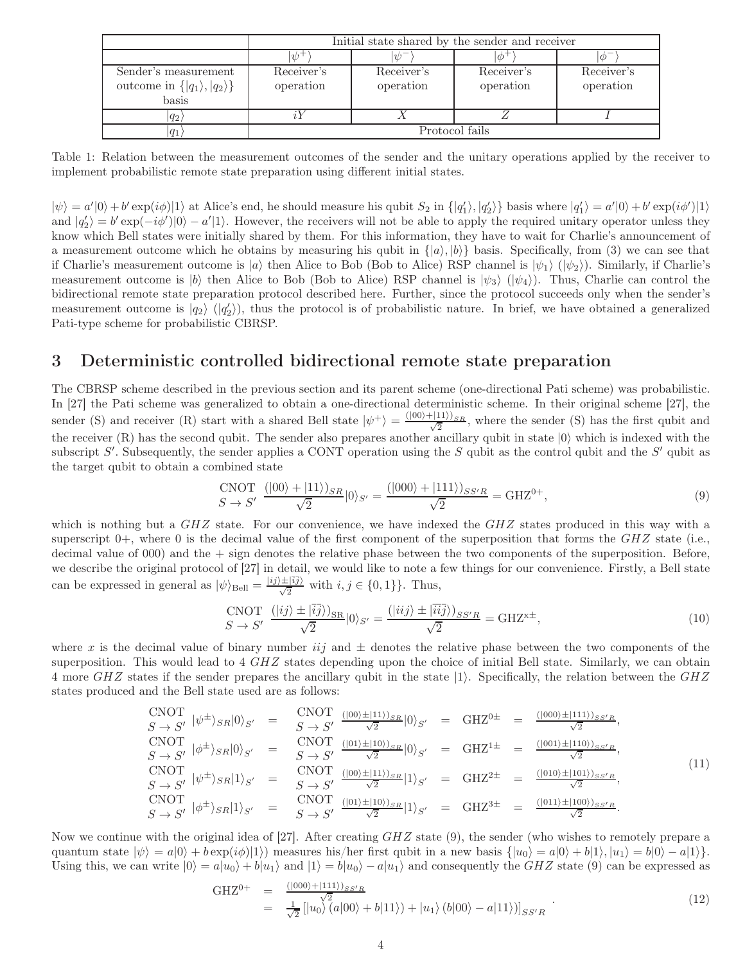|                                           | Initial state shared by the sender and receiver |            |               |            |  |  |
|-------------------------------------------|-------------------------------------------------|------------|---------------|------------|--|--|
|                                           | $\psi^+$                                        | $\n  12$   | $\phi^{\neg}$ |            |  |  |
| Sender's measurement                      | Receiver's                                      | Receiver's | Receiver's    | Receiver's |  |  |
| outcome in $\{ q_1\rangle,  q_2\rangle\}$ | operation                                       | operation  | operation     | operation  |  |  |
| basis                                     |                                                 |            |               |            |  |  |
| $ q_2\rangle$                             |                                                 |            |               |            |  |  |
| $ q_1\rangle$                             | Protocol fails                                  |            |               |            |  |  |

Table 1: Relation between the measurement outcomes of the sender and the unitary operations applied by the receiver to implement probabilistic remote state preparation using different initial states.

 $|\psi\rangle = a'|0\rangle + b' \exp(i\phi)|1\rangle$  at Alice's end, he should measure his qubit  $S_2$  in  $\{|q'_1\rangle, |q'_2\rangle\}$  basis where  $|q'_1\rangle = a'|0\rangle + b' \exp(i\phi')|1\rangle$ and  $|q'_2\rangle = b' \exp(-i\phi')|0\rangle - a'|1\rangle$ . However, the receivers will not be able to apply the required unitary operator unless they know which Bell states were initially shared by them. For this information, they have to wait for Charlie's announcement of a measurement outcome which he obtains by measuring his qubit in  $\{|a\rangle, |b\rangle\}$  basis. Specifically, from (3) we can see that if Charlie's measurement outcome is  $|a\rangle$  then Alice to Bob (Bob to Alice) RSP channel is  $|\psi_1\rangle$  ( $|\psi_2\rangle$ ). Similarly, if Charlie's measurement outcome is  $|b\rangle$  then Alice to Bob (Bob to Alice) RSP channel is  $|\psi_3\rangle$  ( $|\psi_4\rangle$ ). Thus, Charlie can control the bidirectional remote state preparation protocol described here. Further, since the protocol succeeds only when the sender's measurement outcome is  $|q_2\rangle$  ( $|q'_2\rangle$ ), thus the protocol is of probabilistic nature. In brief, we have obtained a generalized Pati-type scheme for probabilistic CBRSP.

#### 3 Deterministic controlled bidirectional remote state preparation

The CBRSP scheme described in the previous section and its parent scheme (one-directional Pati scheme) was probabilistic. In [27] the Pati scheme was generalized to obtain a one-directional deterministic scheme. In their original scheme [27], the sender (S) and receiver (R) start with a shared Bell state  $|\psi^+\rangle = \frac{(|00\rangle + |11\rangle)_{SR}}{\sqrt{2}}$ , where the sender (S) has the first qubit and the receiver  $(R)$  has the second qubit. The sender also prepares another ancillary qubit in state  $|0\rangle$  which is indexed with the subscript S'. Subsequently, the sender applies a CONT operation using the S qubit as the control qubit and the S' qubit as the target qubit to obtain a combined state

$$
\frac{\text{CNOT}}{S \to S'} \frac{(|00\rangle + |11\rangle)_{SR}}{\sqrt{2}} |0\rangle_{S'} = \frac{(|000\rangle + |111\rangle)_{SS'R}}{\sqrt{2}} = \text{GHZ}^{0+},\tag{9}
$$

which is nothing but a  $GHZ$  state. For our convenience, we have indexed the  $GHZ$  states produced in this way with a superscript  $0+$ , where 0 is the decimal value of the first component of the superposition that forms the  $GHZ$  state (i.e., decimal value of 000) and the + sign denotes the relative phase between the two components of the superposition. Before, we describe the original protocol of [27] in detail, we would like to note a few things for our convenience. Firstly, a Bell state can be expressed in general as  $|\psi\rangle_{\text{Bell}} = \frac{|ij\rangle \pm |\bar{i}\bar{j}\rangle}{\sqrt{2}}$  with  $i, j \in \{0, 1\}$ . Thus,

$$
\text{CNOT} \quad (|ij\rangle \pm |\overline{i}\overline{j}\rangle)_{\text{SR}}|0\rangle_{S'} = \frac{(|iij\rangle \pm |\overline{i}\overline{i}\overline{j}\rangle)_{SS'R}}{\sqrt{2}} = \text{GHZ}^{x\pm},\tag{10}
$$

where x is the decimal value of binary number iij and  $\pm$  denotes the relative phase between the two components of the superposition. This would lead to 4 GHZ states depending upon the choice of initial Bell state. Similarly, we can obtain 4 more  $GHZ$  states if the sender prepares the ancillary qubit in the state  $|1\rangle$ . Specifically, the relation between the  $GHZ$ states produced and the Bell state used are as follows:

$$
CNOT \quad S \to S' \quad |\psi^{\pm}\rangle_{SR}|0\rangle_{S'} = CNOT \quad (100) \pm (111)_{SR}|0\rangle_{S'} = GHZ^{0\pm} = \frac{(|000\rangle \pm (111\rangle)_{SS'R}}{\sqrt{2}},
$$
\n
$$
CNOT \quad (\phi^{\pm}\rangle_{SR}|0\rangle_{S'} = CNOT \quad (101) \pm (10)_{SR}|0\rangle_{S'} = GHZ^{1\pm} = \frac{(|001\rangle \pm (110)_{SS'R}}{\sqrt{2}},
$$
\n
$$
CNOT \quad S \to S' \quad |\psi^{\pm}\rangle_{SR}|1\rangle_{S'} = CNOT \quad (100) \pm (111)_{SR}|1\rangle_{S'} = GHZ^{2\pm} = \frac{(|010\rangle \pm (101\rangle)_{SS'R}}{\sqrt{2}},
$$
\n
$$
CNOT \quad (\phi^{\pm}\rangle_{SR}|1\rangle_{S'} = CNOT \quad (101) \pm (10)_{SR}|1\rangle_{S'} = GHZ^{3\pm} = \frac{(|011\rangle \pm (100)_{SS'R}}{\sqrt{2}},
$$
\n
$$
S \to S' \quad |\phi^{\pm}\rangle_{SR}|1\rangle_{S'} = S \to S' \quad \frac{(|01\rangle \pm (10)_{SS'R}}{\sqrt{2}}|1\rangle_{S'} = GHZ^{3\pm} = \frac{(|011\rangle \pm (100)_{SS'R}}{\sqrt{2}}.
$$
\n(11)

Now we continue with the original idea of [27]. After creating  $GHZ$  state (9), the sender (who wishes to remotely prepare a quantum state  $|\psi\rangle = a|0\rangle + b \exp(i\phi)|1\rangle$ ) measures his/her first qubit in a new basis  $\{|u_0\rangle = a|0\rangle + b|1\rangle, |u_1\rangle = b|0\rangle - a|1\rangle\}$ . Using this, we can write  $|0\rangle = a|u_0\rangle + b|u_1\rangle$  and  $|1\rangle = b|u_0\rangle - a|u_1\rangle$  and consequently the GHZ state (9) can be expressed as

$$
\begin{array}{rcl}\n\text{GHZ}^{0+} & = & \frac{(|000\rangle + |111\rangle)_{SS'R}}{\sqrt{2}} \\
& = & \frac{1}{\sqrt{2}} \left[ |u_0\rangle \left( a|00\rangle + b|11\rangle \right) + |u_1\rangle \left( b|00\rangle - a|11\rangle \right) \right]_{SS'R} \n\end{array} \tag{12}
$$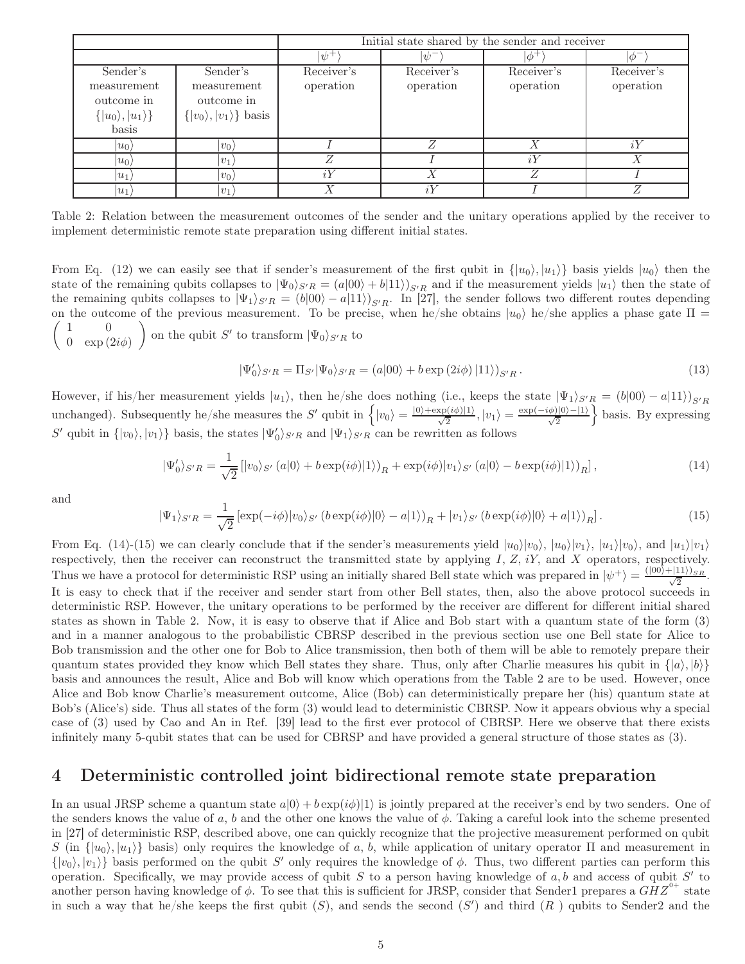|                                                                                  |                                                                               | Initial state shared by the sender and receiver |                         |                         |                         |
|----------------------------------------------------------------------------------|-------------------------------------------------------------------------------|-------------------------------------------------|-------------------------|-------------------------|-------------------------|
|                                                                                  |                                                                               | $\psi^+$                                        | $\psi^-$                | $\phi^+$                | $\circ$                 |
| Sender's<br>measurement<br>outcome in<br>$\{ u_0\rangle,  u_1\rangle\}$<br>basis | Sender's<br>measurement<br>outcome in<br>$\{ v_0\rangle,  v_1\rangle\}$ basis | Receiver's<br>operation                         | Receiver's<br>operation | Receiver's<br>operation | Receiver's<br>operation |
| $ u_0\rangle$                                                                    | $ v_0 $                                                                       |                                                 |                         |                         | i <sub>1</sub>          |
| $ u_0\rangle$                                                                    | $ v_1 $                                                                       |                                                 |                         | iY                      |                         |
| $ u_1\rangle$                                                                    | $ v_0\rangle$                                                                 |                                                 |                         | Ζ                       |                         |
| $ u_1\rangle$                                                                    | $ v_1 $                                                                       | Х                                               | iY                      |                         | $\sqrt{2}$              |

Table 2: Relation between the measurement outcomes of the sender and the unitary operations applied by the receiver to implement deterministic remote state preparation using different initial states.

From Eq. (12) we can easily see that if sender's measurement of the first qubit in  $\{|u_0\rangle, |u_1\rangle\}$  basis yields  $|u_0\rangle$  then the state of the remaining qubits collapses to  $|\Psi_0\rangle_{S'R} = (a|00\rangle + b|11\rangle)_{S'R}$  and if the measurement yields  $|u_1\rangle$  then the state of the remaining qubits collapses to  $|\Psi_1\rangle_{S'R} = (b|00\rangle - a|11\rangle)_{S'R}$ . In [27], the sender follows two different routes depending  $\begin{pmatrix} 1 & 0 \\ 0 & 0 \\ 0 & 0 \\ 0 & 0 \end{pmatrix}$ on the outcome of the previous measurement. To be precise, when he/she obtains  $|u_0\rangle$  he/she applies a phase gate  $\Pi =$ 0  $\exp(2i\phi)$ on the qubit  $S'$  to transform  $|\Psi_0\rangle_{S'R}$  to

$$
|\Psi_0'\rangle_{S'R} = \Pi_{S'}|\Psi_0\rangle_{S'R} = (a|00\rangle + b \exp(2i\phi)|11\rangle)_{S'R}.
$$
\n(13)

However, if his/her measurement yields  $|u_1\rangle$ , then he/she does nothing (i.e., keeps the state  $|\Psi_1\rangle_{S'R} = (b|00\rangle - a|11\rangle)_{S'R}$ unchanged). Subsequently he/she measures the S' qubit in  $\left\{|v_0\rangle = \frac{|0\rangle + \exp(i\phi)|1\rangle}{\sqrt{2}}, |v_1\rangle = \frac{\exp(-i\phi)|0\rangle - |1\rangle}{\sqrt{2}}\right\}$  basis. By expressing S' qubit in  $\{|v_0\rangle, |v_1\rangle\}$  basis, the states  $|\Psi'_0\rangle_{S'R}$  and  $|\Psi_1\rangle_{S'R}$  can be rewritten as follows

$$
|\Psi'_0\rangle_{S'R} = \frac{1}{\sqrt{2}} \left[ |v_0\rangle_{S'} \left( a|0\rangle + b \exp(i\phi)|1\rangle \right)_R + \exp(i\phi)|v_1\rangle_{S'} \left( a|0\rangle - b \exp(i\phi)|1\rangle \right)_R \right],\tag{14}
$$

and

$$
|\Psi_1\rangle_{S'R} = \frac{1}{\sqrt{2}} \left[ \exp(-i\phi)|v_0\rangle_{S'} \left( b \exp(i\phi)|0\rangle - a|1\rangle \right)_R + |v_1\rangle_{S'} \left( b \exp(i\phi)|0\rangle + a|1\rangle \right)_R \right].
$$
 (15)

From Eq. (14)-(15) we can clearly conclude that if the sender's measurements yield  $|u_0\rangle|v_0\rangle$ ,  $|u_0\rangle|v_1\rangle$ ,  $|u_1\rangle|v_0\rangle$ , and  $|u_1\rangle|v_1\rangle$ respectively, then the receiver can reconstruct the transmitted state by applying  $I, Z, iY$ , and  $X$  operators, respectively. Thus we have a protocol for deterministic RSP using an initially shared Bell state which was prepared in  $|\psi^+\rangle = \frac{(|00\rangle + |11\rangle)_{SR}}{\sqrt{2}}$ . It is easy to check that if the receiver and sender start from other Bell states, then, also the above protocol succeeds in deterministic RSP. However, the unitary operations to be performed by the receiver are different for different initial shared states as shown in Table 2. Now, it is easy to observe that if Alice and Bob start with a quantum state of the form (3) and in a manner analogous to the probabilistic CBRSP described in the previous section use one Bell state for Alice to Bob transmission and the other one for Bob to Alice transmission, then both of them will be able to remotely prepare their quantum states provided they know which Bell states they share. Thus, only after Charlie measures his qubit in  $\{|a\rangle, |b\rangle\}$ basis and announces the result, Alice and Bob will know which operations from the Table 2 are to be used. However, once Alice and Bob know Charlie's measurement outcome, Alice (Bob) can deterministically prepare her (his) quantum state at Bob's (Alice's) side. Thus all states of the form (3) would lead to deterministic CBRSP. Now it appears obvious why a special case of (3) used by Cao and An in Ref. [39] lead to the first ever protocol of CBRSP. Here we observe that there exists infinitely many 5-qubit states that can be used for CBRSP and have provided a general structure of those states as (3).

#### 4 Deterministic controlled joint bidirectional remote state preparation

In an usual JRSP scheme a quantum state  $a|0\rangle + b \exp(i\phi)|1\rangle$  is jointly prepared at the receiver's end by two senders. One of the senders knows the value of a, b and the other one knows the value of  $\phi$ . Taking a careful look into the scheme presented in [27] of deterministic RSP, described above, one can quickly recognize that the projective measurement performed on qubit S (in  $\{|u_0\rangle, |u_1\rangle\}$  basis) only requires the knowledge of a, b, while application of unitary operator Π and measurement in  $\{|v_0\rangle, |v_1\rangle\}$  basis performed on the qubit S' only requires the knowledge of  $\phi$ . Thus, two different parties can perform this operation. Specifically, we may provide access of qubit S to a person having knowledge of  $a, b$  and access of qubit S' to another person having knowledge of  $\phi$ . To see that this is sufficient for JRSP, consider that Sender1 prepares a  $GHZ^{0+}$  state in such a way that he/she keeps the first qubit  $(S)$ , and sends the second  $(S')$  and third  $(R)$  qubits to Sender2 and the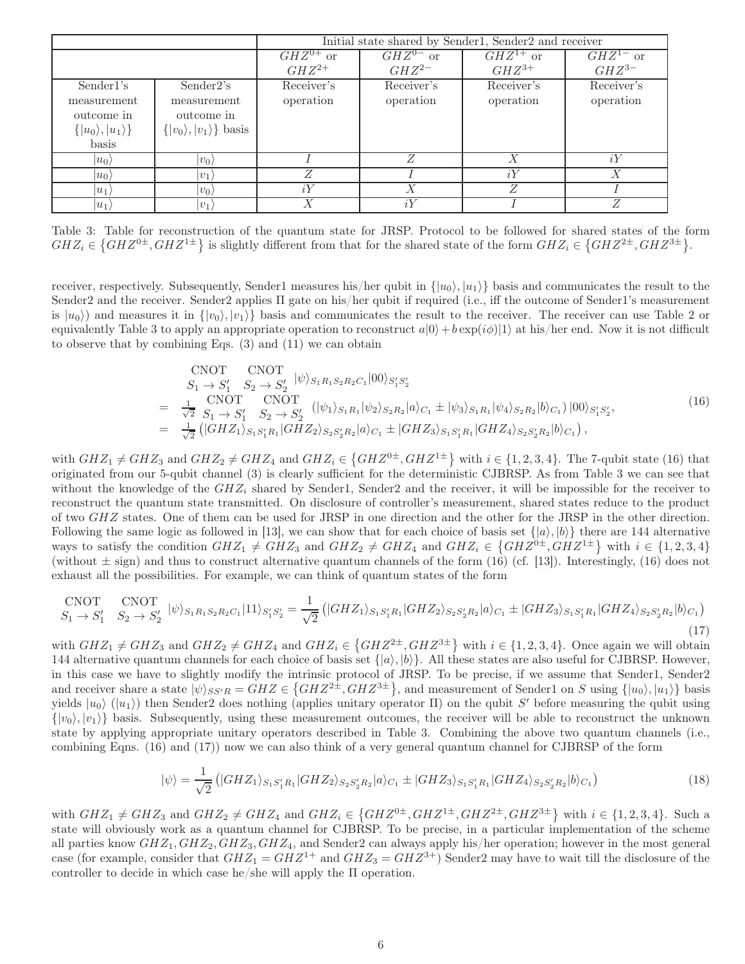|                                                                                   |                                                                                | Initial state shared by Sender1, Sender2 and receiver |                             |                             |                             |
|-----------------------------------------------------------------------------------|--------------------------------------------------------------------------------|-------------------------------------------------------|-----------------------------|-----------------------------|-----------------------------|
|                                                                                   |                                                                                | $GHZ^{0+}$ or<br>$GHZ^{2+}$                           | $GHZ^{0-}$ or<br>$GHZ^{2-}$ | $GHZ^{1+}$ or<br>$GHZ^{3+}$ | $GHZ^{1-}$ or<br>$GHZ^{3-}$ |
| Sender1's<br>measurement<br>outcome in<br>$\{ u_0\rangle,  u_1\rangle\}$<br>basis | Sender2's<br>measurement<br>outcome in<br>$\{ v_0\rangle,  v_1\rangle\}$ basis | Receiver's<br>operation                               | Receiver's<br>operation     | Receiver's<br>operation     | Receiver's<br>operation     |
| $ u_0\rangle$                                                                     | $ v_0\rangle$                                                                  |                                                       | Z                           | $\boldsymbol{X}$            | iY                          |
| $ u_0\rangle$                                                                     | $ v_1\rangle$                                                                  |                                                       |                             | iY                          |                             |
| $ u_1\rangle$                                                                     | $ v_0\rangle$                                                                  | iY                                                    | Х                           | Z                           |                             |
| $ u_1\rangle$                                                                     | $ v_1\rangle$                                                                  |                                                       | iY                          |                             |                             |

Table 3: Table for reconstruction of the quantum state for JRSP. Protocol to be followed for shared states of the form  $GHZ_i \in \{GHZ^{0\pm}, GHZ^{1\pm}\}\$ is slightly different from that for the shared state of the form  $GHZ_i \in \{GHZ^{2\pm}, GHZ^{3\pm}\}\$ .

receiver, respectively. Subsequently, Sender1 measures his/her qubit in  $\{|u_0\rangle, |u_1\rangle\}$  basis and communicates the result to the Sender2 and the receiver. Sender2 applies Π gate on his/her qubit if required (i.e., iff the outcome of Sender1's measurement is  $|u_0\rangle$  and measures it in  $\{|v_0\rangle, |v_1\rangle\}$  basis and communicates the result to the receiver. The receiver can use Table 2 or equivalently Table 3 to apply an appropriate operation to reconstruct  $a|0\rangle + b \exp(i\phi)|1\rangle$  at his/her end. Now it is not difficult to observe that by combining Eqs. (3) and (11) we can obtain

$$
\begin{split}\n\text{CNOT} \quad & \text{CNOT} \\
S_1 \to S_1' \quad S_2 \to S_2' \quad |\psi\rangle_{S_1 R_1 S_2 R_2 C_1} |00\rangle_{S_1' S_2'} \\
&= \frac{1}{\sqrt{2}} \frac{\text{CNOT}}{S_1 \to S_1'} \frac{\text{CNOT}}{S_2 \to S_2'} \left( |\psi_1\rangle_{S_1 R_1} |\psi_2\rangle_{S_2 R_2} |a\rangle_{C_1} \pm |\psi_3\rangle_{S_1 R_1} |\psi_4\rangle_{S_2 R_2} |b\rangle_{C_1} \right) |00\rangle_{S_1' S_2'}, \\
&= \frac{1}{\sqrt{2}} \left( |GHZ_1\rangle_{S_1 S_1' R_1} |GHZ_2\rangle_{S_2 S_2' R_2} |a\rangle_{C_1} \pm |GHZ_3\rangle_{S_1 S_1' R_1} |GHZ_4\rangle_{S_2 S_2' R_2} |b\rangle_{C_1} \right),\n\end{split} \tag{16}
$$

with  $GHZ_1 \neq GHZ_3$  and  $GHZ_2 \neq GHZ_4$  and  $GHZ_i \in \{GHZ^{0\pm}, GHZ^{1\pm}\}\$  with  $i \in \{1, 2, 3, 4\}$ . The 7-qubit state (16) that originated from our 5-qubit channel (3) is clearly sufficient for the deterministic CJBRSP. As from Table 3 we can see that without the knowledge of the  $GHZ_i$  shared by Sender1, Sender2 and the receiver, it will be impossible for the receiver to reconstruct the quantum state transmitted. On disclosure of controller's measurement, shared states reduce to the product of two GHZ states. One of them can be used for JRSP in one direction and the other for the JRSP in the other direction. Following the same logic as followed in [13], we can show that for each choice of basis set  $\{|a\rangle, |b\rangle\}$  there are 144 alternative ways to satisfy the condition  $GHZ_1 \neq GHZ_3$  and  $GHZ_2 \neq GHZ_4$  and  $GHZ_i \in \{GHZ^{0\pm}, GHZ^{1\pm}\}\$  with  $i \in \{1,2,3,4\}$ (without  $\pm$  sign) and thus to construct alternative quantum channels of the form (16) (cf. [13]). Interestingly, (16) does not exhaust all the possibilities. For example, we can think of quantum states of the form

$$
\text{CNOT} \quad \text{CNOT} \quad \text{CNOT} \quad S_1 \to S_1' \quad S_2 \to S_2' \quad |\psi\rangle_{S_1 R_1 S_2 R_2 C_1} |11\rangle_{S_1' S_2'} = \frac{1}{\sqrt{2}} \left( |GHZ_1\rangle_{S_1 S_1' R_1} |GHZ_2\rangle_{S_2 S_2' R_2} |a\rangle_{C_1} \pm |GHZ_3\rangle_{S_1 S_1' R_1} |GHZ_4\rangle_{S_2 S_2' R_2} |b\rangle_{C_1} \right) \tag{17}
$$

with  $GHZ_1 \neq GHZ_3$  and  $GHZ_2 \neq GHZ_4$  and  $GHZ_i \in \{GHZ^{2\pm}, GHZ^{3\pm}\}\$  with  $i \in \{1, 2, 3, 4\}$ . Once again we will obtain 144 alternative quantum channels for each choice of basis set  $\{|a\rangle, |b\rangle\}$ . All these states are also useful for CJBRSP. However, in this case we have to slightly modify the intrinsic protocol of JRSP. To be precise, if we assume that Sender1, Sender2 and receiver share a state  $|\psi\rangle_{SS'R} = GHZ \in \left\{GHZ^{2\pm}, GHZ^{3\pm}\right\}$ , and measurement of Sender1 on S using  $\{|u_0\rangle, |u_1\rangle\}$  basis yields  $|u_0\rangle$  ( $|u_1\rangle$ ) then Sender2 does nothing (applies unitary operator  $\Pi$ ) on the qubit S' before measuring the qubit using  $\{|v_0\rangle, |v_1\rangle\}$  basis. Subsequently, using these measurement outcomes, the receiver will be able to reconstruct the unknown state by applying appropriate unitary operators described in Table 3. Combining the above two quantum channels (i.e., combining Eqns. (16) and (17)) now we can also think of a very general quantum channel for CJBRSP of the form

$$
|\psi\rangle = \frac{1}{\sqrt{2}} \left( |GHZ_1\rangle_{S_1S_1'R_1} |GHZ_2\rangle_{S_2S_2'R_2}|a\rangle_{C_1} \pm |GHZ_3\rangle_{S_1S_1'R_1} |GHZ_4\rangle_{S_2S_2'R_2}|b\rangle_{C_1} \right) \tag{18}
$$

with  $GHZ_1 \neq GHZ_3$  and  $GHZ_2 \neq GHZ_4$  and  $GHZ_i \in \{GHZ^{0\pm}, GHZ^{1\pm}, GHZ^{2\pm}, GHZ^{3\pm}\}\$  with  $i \in \{1, 2, 3, 4\}$ . Such a state will obviously work as a quantum channel for CJBRSP. To be precise, in a particular implementation of the scheme all parties know  $GHZ_1, GHZ_2, GHZ_3, GHZ_4$ , and Sender2 can always apply his/her operation; however in the most general case (for example, consider that  $GHZ_1 = GHZ^{1+}$  and  $GHZ_3 = GHZ^{3+}$ ) Sender2 may have to wait till the disclosure of the controller to decide in which case he/she will apply the Π operation.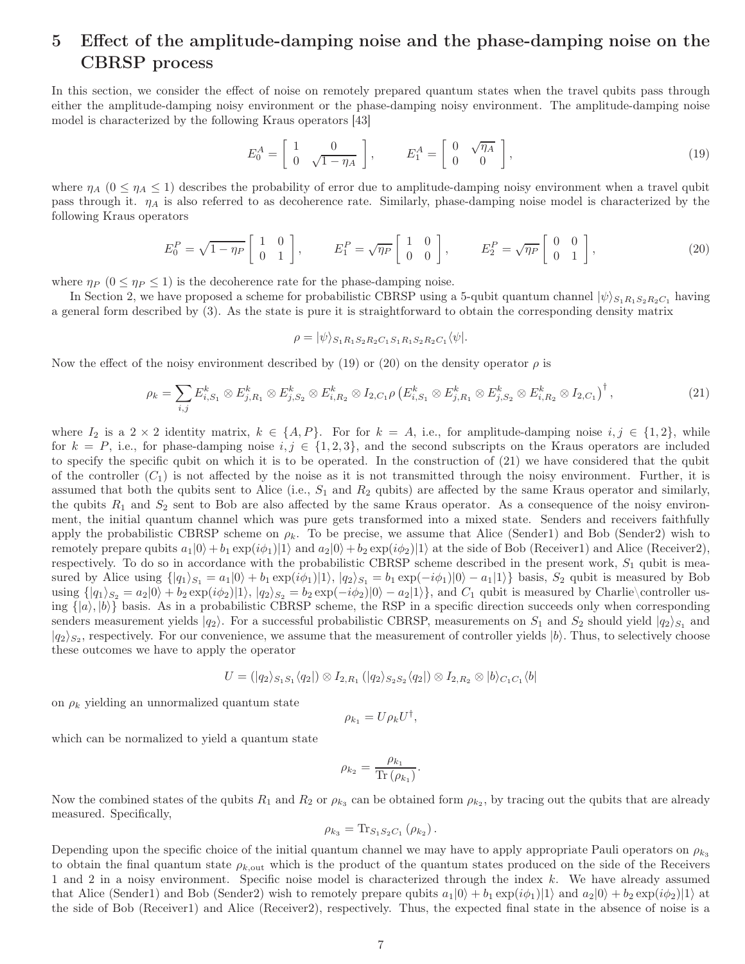## 5 Effect of the amplitude-damping noise and the phase-damping noise on the CBRSP process

In this section, we consider the effect of noise on remotely prepared quantum states when the travel qubits pass through either the amplitude-damping noisy environment or the phase-damping noisy environment. The amplitude-damping noise model is characterized by the following Kraus operators [43]

$$
E_0^A = \begin{bmatrix} 1 & 0 \\ 0 & \sqrt{1 - \eta_A} \end{bmatrix}, \qquad E_1^A = \begin{bmatrix} 0 & \sqrt{\eta_A} \\ 0 & 0 \end{bmatrix}, \tag{19}
$$

where  $\eta_A$  ( $0 \leq \eta_A \leq 1$ ) describes the probability of error due to amplitude-damping noisy environment when a travel qubit pass through it.  $\eta_A$  is also referred to as decoherence rate. Similarly, phase-damping noise model is characterized by the following Kraus operators

$$
E_0^P = \sqrt{1 - \eta_P} \begin{bmatrix} 1 & 0 \\ 0 & 1 \end{bmatrix}, \qquad E_1^P = \sqrt{\eta_P} \begin{bmatrix} 1 & 0 \\ 0 & 0 \end{bmatrix}, \qquad E_2^P = \sqrt{\eta_P} \begin{bmatrix} 0 & 0 \\ 0 & 1 \end{bmatrix}, \tag{20}
$$

where  $\eta_P$  ( $0 \leq \eta_P \leq 1$ ) is the decoherence rate for the phase-damping noise.

In Section 2, we have proposed a scheme for probabilistic CBRSP using a 5-qubit quantum channel  $|\psi\rangle_{S_1R_1S_2R_2C_1}$  having a general form described by (3). As the state is pure it is straightforward to obtain the corresponding density matrix

 $\rho = |\psi\rangle_{S_1R_1S_2R_2C_1S_1R_1S_2R_2C_1} \langle \psi |.$ 

Now the effect of the noisy environment described by (19) or (20) on the density operator  $\rho$  is

$$
\rho_k = \sum_{i,j} E_{i,S_1}^k \otimes E_{j,R_1}^k \otimes E_{j,S_2}^k \otimes E_{i,R_2}^k \otimes I_{2,C_1} \rho \left( E_{i,S_1}^k \otimes E_{j,R_1}^k \otimes E_{j,S_2}^k \otimes E_{i,R_2}^k \otimes I_{2,C_1} \right)^{\dagger}, \tag{21}
$$

where  $I_2$  is a  $2 \times 2$  identity matrix,  $k \in \{A, P\}$ . For for  $k = A$ , i.e., for amplitude-damping noise  $i, j \in \{1, 2\}$ , while for  $k = P$ , i.e., for phase-damping noise  $i, j \in \{1, 2, 3\}$ , and the second subscripts on the Kraus operators are included to specify the specific qubit on which it is to be operated. In the construction of (21) we have considered that the qubit of the controller  $(C_1)$  is not affected by the noise as it is not transmitted through the noisy environment. Further, it is assumed that both the qubits sent to Alice (i.e.,  $S_1$  and  $R_2$  qubits) are affected by the same Kraus operator and similarly, the qubits  $R_1$  and  $S_2$  sent to Bob are also affected by the same Kraus operator. As a consequence of the noisy environment, the initial quantum channel which was pure gets transformed into a mixed state. Senders and receivers faithfully apply the probabilistic CBRSP scheme on  $\rho_k$ . To be precise, we assume that Alice (Sender1) and Bob (Sender2) wish to remotely prepare qubits  $a_1|0\rangle + b_1 \exp(i\phi_1)|1\rangle$  and  $a_2|0\rangle + b_2 \exp(i\phi_2)|1\rangle$  at the side of Bob (Receiver1) and Alice (Receiver2), respectively. To do so in accordance with the probabilistic CBRSP scheme described in the present work,  $S_1$  qubit is measured by Alice using  $\{|q_1\rangle_{S_1} = a_1|0\rangle + b_1 \exp(i\phi_1)|1\rangle$ ,  $|q_2\rangle_{S_1} = b_1 \exp(-i\phi_1)|0\rangle - a_1|1\rangle$  basis,  $S_2$  qubit is measured by Bob using  $\{|q_1\rangle_{S_2} = a_2|0\rangle + b_2 \exp(i\phi_2)|1\rangle$ ,  $|q_2\rangle_{S_2} = b_2 \exp(-i\phi_2)|0\rangle - a_2|1\rangle$ , and  $C_1$  qubit is measured by Charlie\controller using  $\{|a\rangle, |b\rangle\}$  basis. As in a probabilistic CBRSP scheme, the RSP in a specific direction succeeds only when corresponding senders measurement yields  $|q_2\rangle$ . For a successful probabilistic CBRSP, measurements on  $S_1$  and  $S_2$  should yield  $|q_2\rangle_{S_1}$  and  $|q_2\rangle_{S_2}$ , respectively. For our convenience, we assume that the measurement of controller yields  $|b\rangle$ . Thus, to selectively choose these outcomes we have to apply the operator

$$
U = (|q_2\rangle_{S_1S_1}\langle q_2|) \otimes I_{2,R_1} (|q_2\rangle_{S_2S_2}\langle q_2|) \otimes I_{2,R_2} \otimes |b\rangle_{C_1C_1}\langle b|
$$

on  $\rho_k$  yielding an unnormalized quantum state

$$
\rho_{k_1} = U \rho_k U^{\dagger},
$$

which can be normalized to yield a quantum state

$$
\rho_{k_2} = \frac{\rho_{k_1}}{\text{Tr}\left(\rho_{k_1}\right)}.
$$

Now the combined states of the qubits  $R_1$  and  $R_2$  or  $\rho_{k_3}$  can be obtained form  $\rho_{k_2}$ , by tracing out the qubits that are already measured. Specifically,

$$
\rho_{k_3} = \text{Tr}_{S_1S_2C_1} (\rho_{k_2}).
$$

Depending upon the specific choice of the initial quantum channel we may have to apply appropriate Pauli operators on  $\rho_{k3}$ to obtain the final quantum state  $\rho_{k, \text{out}}$  which is the product of the quantum states produced on the side of the Receivers 1 and 2 in a noisy environment. Specific noise model is characterized through the index  $k$ . We have already assumed that Alice (Sender1) and Bob (Sender2) wish to remotely prepare qubits  $a_1|0\rangle + b_1 \exp(i\phi_1)|1\rangle$  and  $a_2|0\rangle + b_2 \exp(i\phi_2)|1\rangle$  at the side of Bob (Receiver1) and Alice (Receiver2), respectively. Thus, the expected final state in the absence of noise is a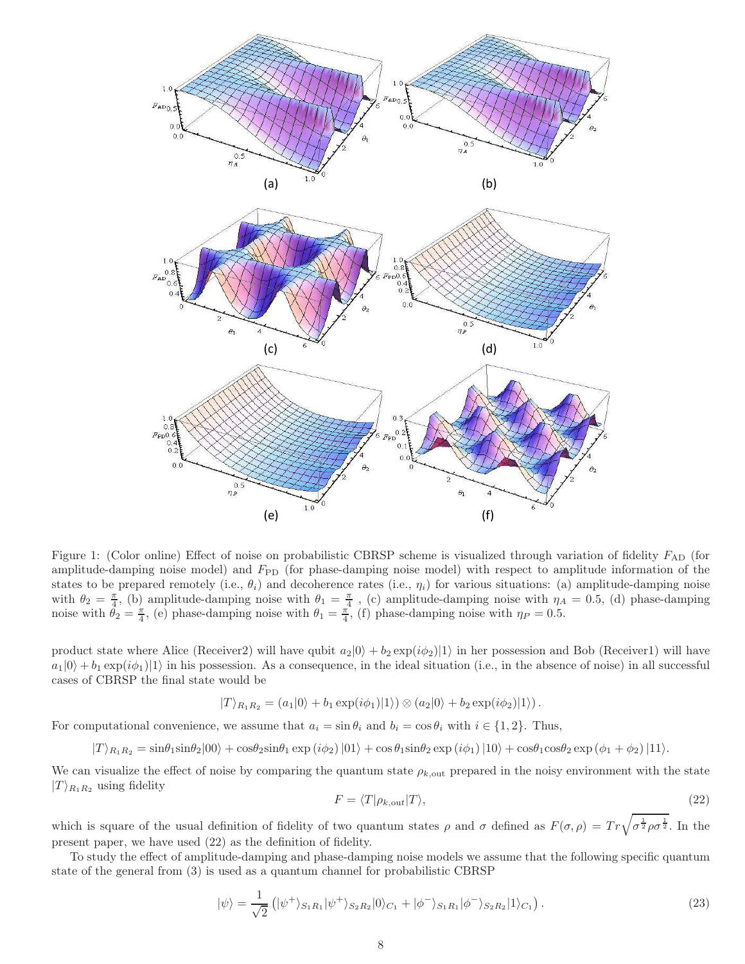

Figure 1: (Color online) Effect of noise on probabilistic CBRSP scheme is visualized through variation of fidelity  $F_{AD}$  (for amplitude-damping noise model) and  $F_{\rm PD}$  (for phase-damping noise model) with respect to amplitude information of the states to be prepared remotely (i.e.,  $\theta_i$ ) and decoherence rates (i.e.,  $\eta_i$ ) for various situations: (a) amplitude-damping noise with  $\theta_2 = \frac{\pi}{4}$ , (b) amplitude-damping noise with  $\theta_1 = \frac{\pi}{4}$ , (c) amplitude-damping noise with  $\eta_A = 0.5$ , (d) phase-damping noise with  $\theta_2 = \frac{\pi}{4}$ , (e) phase-damping noise with  $\theta_1 = \frac{\pi}{4}$ , (f) phase-damping noise with  $\eta_P = 0.5$ .

product state where Alice (Receiver2) will have qubit  $a_2|0\rangle + b_2 \exp(i\phi_2)|1\rangle$  in her possession and Bob (Receiver1) will have  $a_1|0\rangle + b_1 \exp(i\phi_1)|1\rangle$  in his possession. As a consequence, in the ideal situation (i.e., in the absence of noise) in all successful cases of CBRSP the final state would be

$$
|T\rangle_{R_1R_2} = (a_1|0\rangle + b_1 \exp(i\phi_1)|1\rangle) \otimes (a_2|0\rangle + b_2 \exp(i\phi_2)|1\rangle).
$$

For computational convenience, we assume that  $a_i = \sin \theta_i$  and  $b_i = \cos \theta_i$  with  $i \in \{1, 2\}$ . Thus,

$$
|T\rangle_{R_1R_2} = \sin\theta_1\sin\theta_2|00\rangle + \cos\theta_2\sin\theta_1\exp(i\phi_2)|01\rangle + \cos\theta_1\sin\theta_2\exp(i\phi_1)|10\rangle + \cos\theta_1\cos\theta_2\exp(\phi_1 + \phi_2)|11\rangle.
$$

We can visualize the effect of noise by comparing the quantum state  $\rho_{k,out}$  prepared in the noisy environment with the state  $|T\rangle_{R_1R_2}$  using fidelity

$$
F = \langle T | \rho_{k, \text{out}} | T \rangle, \tag{22}
$$

which is square of the usual definition of fidelity of two quantum states  $\rho$  and  $\sigma$  defined as  $F(\sigma,\rho) = Tr \sqrt{\sigma^{\frac{1}{2}} \rho \sigma^{\frac{1}{2}}}$ . In the present paper, we have used (22) as the definition of fidelity.

To study the effect of amplitude-damping and phase-damping noise models we assume that the following specific quantum state of the general from (3) is used as a quantum channel for probabilistic CBRSP

$$
|\psi\rangle = \frac{1}{\sqrt{2}} (|\psi^{+}\rangle_{S_{1}R_{1}} |\psi^{+}\rangle_{S_{2}R_{2}} |0\rangle_{C_{1}} + |\phi^{-}\rangle_{S_{1}R_{1}} |\phi^{-}\rangle_{S_{2}R_{2}} |1\rangle_{C_{1}}).
$$
\n(23)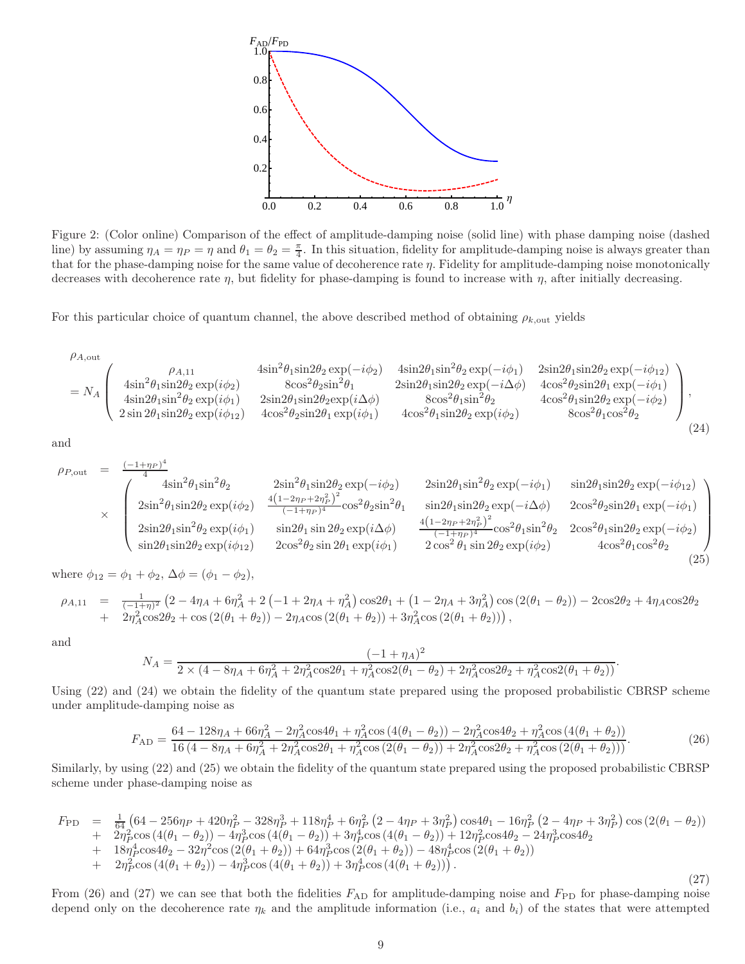

Figure 2: (Color online) Comparison of the effect of amplitude-damping noise (solid line) with phase damping noise (dashed line) by assuming  $\eta_A = \eta_P = \eta$  and  $\theta_1 = \theta_2 = \frac{\pi}{4}$ . In this situation, fidelity for amplitude-damping noise is always greater than that for the phase-damping noise for the same value of decoherence rate  $\eta$ . Fidelity for amplitude-damping noise monotonically decreases with decoherence rate  $\eta$ , but fidelity for phase-damping is found to increase with  $\eta$ , after initially decreasing.

For this particular choice of quantum channel, the above described method of obtaining  $\rho_{k,\text{out}}$  yields

$$
\rho_{A,\text{out}} \left( \begin{array}{ccc} \rho_{A,11} & 4\text{sin}^2\theta_1\text{sin}2\theta_2\exp(-i\phi_2) & 4\text{sin}2\theta_1\text{sin}^2\theta_2\exp(-i\phi_1) & 2\text{sin}2\theta_1\text{sin}2\theta_2\exp(-i\phi_{12}) \\ 4\text{sin}^2\theta_1\text{sin}2\theta_2\exp(i\phi_2) & 8\text{cos}^2\theta_2\text{sin}^2\theta_1 & 2\text{sin}2\theta_1\text{sin}2\theta_2\exp(-i\Delta\phi) & 4\text{cos}^2\theta_2\text{sin}2\theta_1\exp(-i\phi_1) \\ 4\text{sin}2\theta_1\text{sin}^2\theta_2\exp(i\phi_1) & 2\text{sin}2\theta_1\text{sin}2\theta_2\exp(i\Delta\phi) & 8\text{cos}^2\theta_1\text{sin}^2\theta_2 & 4\text{cos}^2\theta_1\text{sin}2\theta_2\exp(-i\phi_2) \\ 2\text{sin}2\theta_1\text{sin}2\theta_2\exp(i\phi_{12}) & 4\text{cos}^2\theta_2\text{sin}2\theta_1\exp(i\phi_1) & 4\text{cos}^2\theta_1\text{sin}2\theta_2\exp(i\phi_2) & 8\text{cos}^2\theta_1\text{cos}^2\theta_2 \end{array} \right),
$$
\n(24)

and

$$
\rho_{P,\text{out}} = \frac{(-1+\eta_P)^4}{4} \text{4} \sin^2 \theta_1 \sin^2 \theta_2 \qquad 2 \sin^2 \theta_1 \sin 2\theta_2 \exp(-i\phi_2) \qquad 2 \sin 2\theta_1 \sin^2 \theta_2 \exp(-i\phi_1) \qquad \sin 2\theta_1 \sin 2\theta_2 \exp(-i\phi_{12})
$$
  
\n
$$
\times \begin{pmatrix}\n4 \sin^2 \theta_1 \sin^2 \theta_2 & 2 \sin^2 \theta_1 \sin 2\theta_2 \exp(-i\phi_2) & 2 \sin 2\theta_1 \sin^2 \theta_2 \exp(-i\phi_1) & \sin 2\theta_1 \sin 2\theta_2 \exp(-i\phi_1) \\
2 \sin^2 \theta_1 \sin^2 \theta_2 \exp(i\phi_1) & \sin 2\theta_1 \sin 2\theta_2 \exp(i\phi) & \frac{4(1-2\eta_P + 2\eta_P^2)^2}{(-1+\eta_P)^4} \cos^2 \theta_1 \sin^2 \theta_2 & 2 \cos^2 \theta_1 \sin 2\theta_2 \exp(-i\phi_2) \\
\sin 2\theta_1 \sin 2\theta_2 \exp(i\phi_{12}) & 2 \cos^2 \theta_2 \sin 2\theta_1 \exp(i\phi_1) & 2 \cos^2 \theta_1 \sin 2\theta_2 \exp(i\phi_2) & 4 \cos^2 \theta_1 \cos^2 \theta_2\n\end{pmatrix}
$$
\n(25)

where  $\phi_{12} = \phi_1 + \phi_2$ ,  $\Delta \phi = (\phi_1 - \phi_2)$ ,

$$
\rho_{A,11} = \frac{1}{(-1+\eta)^2} \left(2 - 4\eta_A + 6\eta_A^2 + 2\left(-1 + 2\eta_A + \eta_A^2\right) \cos 2\theta_1 + \left(1 - 2\eta_A + 3\eta_A^2\right) \cos \left(2(\theta_1 - \theta_2)\right) - 2\cos 2\theta_2 + 4\eta_A \cos 2\theta_2 + 2\eta_A^2 \cos 2\theta_2 + \cos\left(2(\theta_1 + \theta_2)\right) - 2\eta_A \cos \left(2(\theta_1 + \theta_2)\right) + 3\eta_A^2 \cos \left(2(\theta_1 + \theta_2)\right)\right),
$$

and

$$
N_A = \frac{(-1+\eta_A)^2}{2 \times (4-8\eta_A+6\eta_A^2+2\eta_A^2 \cos 2\theta_1+\eta_A^2 \cos 2(\theta_1-\theta_2)+2\eta_A^2 \cos 2\theta_2+\eta_A^2 \cos 2(\theta_1+\theta_2))}.
$$

Using (22) and (24) we obtain the fidelity of the quantum state prepared using the proposed probabilistic CBRSP scheme under amplitude-damping noise as

$$
F_{AD} = \frac{64 - 128\eta_A + 66\eta_A^2 - 2\eta_A^2 \cos 4\theta_1 + \eta_A^2 \cos \left(4(\theta_1 - \theta_2)\right) - 2\eta_A^2 \cos 4\theta_2 + \eta_A^2 \cos \left(4(\theta_1 + \theta_2)\right)}{16\left(4 - 8\eta_A + 6\eta_A^2 + 2\eta_A^2 \cos 2\theta_1 + \eta_A^2 \cos \left(2(\theta_1 - \theta_2)\right) + 2\eta_A^2 \cos 2\theta_2 + \eta_A^2 \cos \left(2(\theta_1 + \theta_2)\right)\right)}.\tag{26}
$$

Similarly, by using (22) and (25) we obtain the fidelity of the quantum state prepared using the proposed probabilistic CBRSP scheme under phase-damping noise as

$$
F_{\rm PD} = \frac{1}{64} \left( 64 - 256\eta_P + 420\eta_P^2 - 328\eta_P^3 + 118\eta_P^4 + 6\eta_P^2 (2 - 4\eta_P + 3\eta_P^2) \cos 4\theta_1 - 16\eta_P^2 (2 - 4\eta_P + 3\eta_P^2) \cos (2(\theta_1 - \theta_2)) + 2\eta_P^2 \cos (4(\theta_1 - \theta_2)) - 4\eta_P^3 \cos (4(\theta_1 - \theta_2)) + 3\eta_P^4 \cos (4(\theta_1 - \theta_2)) + 12\eta_P^2 \cos 4\theta_2 - 24\eta_P^3 \cos 4\theta_2 - 4\eta_P^3 \cos 4\theta_2 - 4\eta_P^3 \cos 4\theta_2 - 32\eta^2 \cos (2(\theta_1 + \theta_2)) + 64\eta_P^3 \cos (2(\theta_1 + \theta_2)) - 48\eta_P^4 \cos (2(\theta_1 + \theta_2)) - 4\eta_P^3 \cos (4(\theta_1 + \theta_2)) \right)
$$
\n
$$
+ 2\eta_P^2 \cos (4(\theta_1 + \theta_2)) - 4\eta_P^3 \cos (4(\theta_1 + \theta_2)) + 3\eta_P^4 \cos (4(\theta_1 + \theta_2)) \right).
$$
\n(27)

From (26) and (27) we can see that both the fidelities  $F_{AD}$  for amplitude-damping noise and  $F_{PD}$  for phase-damping noise depend only on the decoherence rate  $\eta_k$  and the amplitude information (i.e.,  $a_i$  and  $b_i$ ) of the states that were attempted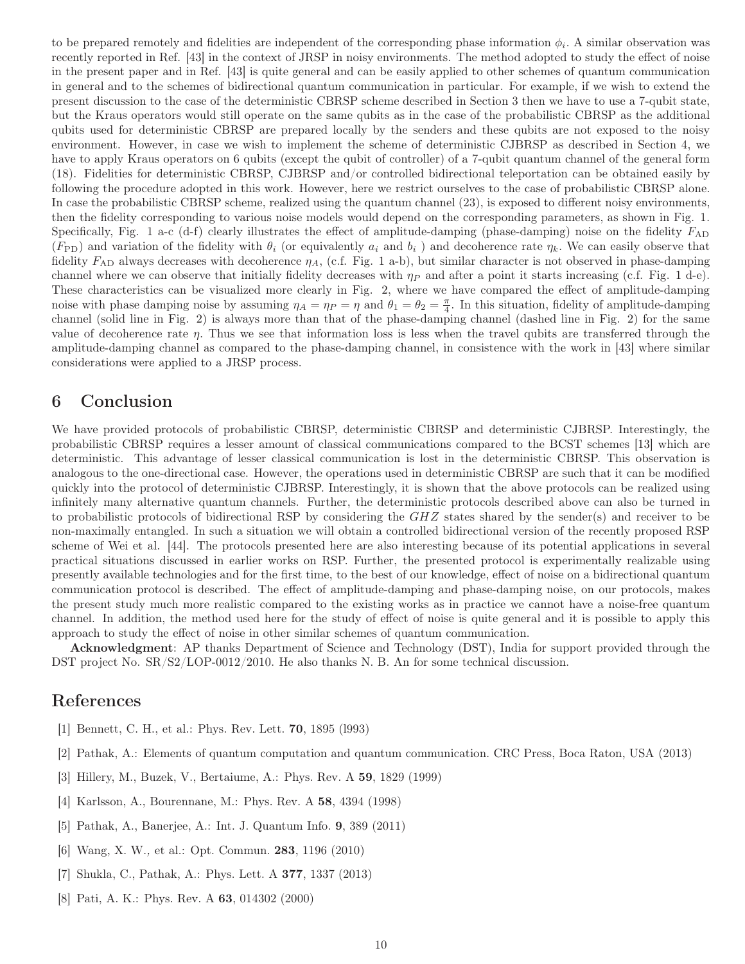to be prepared remotely and fidelities are independent of the corresponding phase information  $\phi_i$ . A similar observation was recently reported in Ref. [43] in the context of JRSP in noisy environments. The method adopted to study the effect of noise in the present paper and in Ref. [43] is quite general and can be easily applied to other schemes of quantum communication in general and to the schemes of bidirectional quantum communication in particular. For example, if we wish to extend the present discussion to the case of the deterministic CBRSP scheme described in Section 3 then we have to use a 7-qubit state, but the Kraus operators would still operate on the same qubits as in the case of the probabilistic CBRSP as the additional qubits used for deterministic CBRSP are prepared locally by the senders and these qubits are not exposed to the noisy environment. However, in case we wish to implement the scheme of deterministic CJBRSP as described in Section 4, we have to apply Kraus operators on 6 qubits (except the qubit of controller) of a 7-qubit quantum channel of the general form (18). Fidelities for deterministic CBRSP, CJBRSP and/or controlled bidirectional teleportation can be obtained easily by following the procedure adopted in this work. However, here we restrict ourselves to the case of probabilistic CBRSP alone. In case the probabilistic CBRSP scheme, realized using the quantum channel (23), is exposed to different noisy environments, then the fidelity corresponding to various noise models would depend on the corresponding parameters, as shown in Fig. 1. Specifically, Fig. 1 a-c (d-f) clearly illustrates the effect of amplitude-damping (phase-damping) noise on the fidelity  $F_{AD}$  $(F_{\rm PD})$  and variation of the fidelity with  $\theta_i$  (or equivalently  $a_i$  and  $b_i$ ) and decoherence rate  $\eta_k$ . We can easily observe that fidelity  $F_{AD}$  always decreases with decoherence  $\eta_A$ , (c.f. Fig. 1 a-b), but similar character is not observed in phase-damping channel where we can observe that initially fidelity decreases with  $\eta_P$  and after a point it starts increasing (c.f. Fig. 1 d-e). These characteristics can be visualized more clearly in Fig. 2, where we have compared the effect of amplitude-damping noise with phase damping noise by assuming  $\eta_A = \eta_P = \eta$  and  $\theta_1 = \theta_2 = \frac{\pi}{4}$ . In this situation, fidelity of amplitude-damping channel (solid line in Fig. 2) is always more than that of the phase-damping channel (dashed line in Fig. 2) for the same value of decoherence rate  $\eta$ . Thus we see that information loss is less when the travel qubits are transferred through the amplitude-damping channel as compared to the phase-damping channel, in consistence with the work in [43] where similar considerations were applied to a JRSP process.

### 6 Conclusion

We have provided protocols of probabilistic CBRSP, deterministic CBRSP and deterministic CJBRSP. Interestingly, the probabilistic CBRSP requires a lesser amount of classical communications compared to the BCST schemes [13] which are deterministic. This advantage of lesser classical communication is lost in the deterministic CBRSP. This observation is analogous to the one-directional case. However, the operations used in deterministic CBRSP are such that it can be modified quickly into the protocol of deterministic CJBRSP. Interestingly, it is shown that the above protocols can be realized using infinitely many alternative quantum channels. Further, the deterministic protocols described above can also be turned in to probabilistic protocols of bidirectional RSP by considering the GHZ states shared by the sender(s) and receiver to be non-maximally entangled. In such a situation we will obtain a controlled bidirectional version of the recently proposed RSP scheme of Wei et al. [44]. The protocols presented here are also interesting because of its potential applications in several practical situations discussed in earlier works on RSP. Further, the presented protocol is experimentally realizable using presently available technologies and for the first time, to the best of our knowledge, effect of noise on a bidirectional quantum communication protocol is described. The effect of amplitude-damping and phase-damping noise, on our protocols, makes the present study much more realistic compared to the existing works as in practice we cannot have a noise-free quantum channel. In addition, the method used here for the study of effect of noise is quite general and it is possible to apply this approach to study the effect of noise in other similar schemes of quantum communication.

Acknowledgment: AP thanks Department of Science and Technology (DST), India for support provided through the DST project No.  $SR/S2/LOP-0012/2010$ . He also thanks N. B. An for some technical discussion.

### References

- [1] Bennett, C. H., et al.: Phys. Rev. Lett. 70, 1895 (l993)
- [2] Pathak, A.: Elements of quantum computation and quantum communication. CRC Press, Boca Raton, USA (2013)
- [3] Hillery, M., Buzek, V., Bertaiume, A.: Phys. Rev. A 59, 1829 (1999)
- [4] Karlsson, A., Bourennane, M.: Phys. Rev. A 58, 4394 (1998)
- [5] Pathak, A., Banerjee, A.: Int. J. Quantum Info. 9, 389 (2011)
- [6] Wang, X. W., et al.: Opt. Commun. 283, 1196 (2010)
- [7] Shukla, C., Pathak, A.: Phys. Lett. A 377, 1337 (2013)
- [8] Pati, A. K.: Phys. Rev. A 63, 014302 (2000)